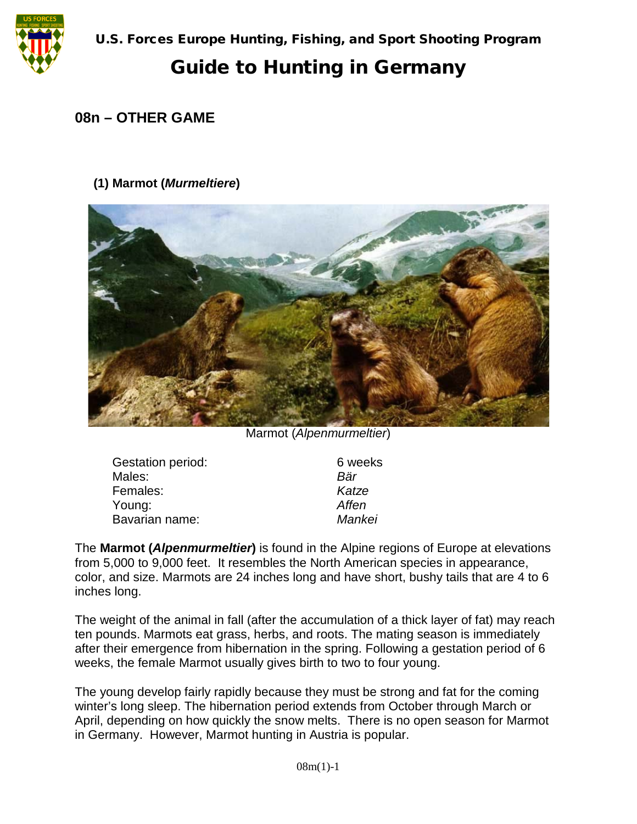

# Guide to Hunting in Germany

### **08n – OTHER GAME**

#### **(1) Marmot (***Murmeltiere***)**



Marmot (*Alpenmurmeltier*)

| <b>Gestation period:</b> | 6 weeks |
|--------------------------|---------|
| Males:                   | Bär     |
| Females:                 | Katze   |
| Young:                   | Affen   |
| Bavarian name:           | Mankei  |

The **Marmot (***Alpenmurmeltier***)** is found in the Alpine regions of Europe at elevations from 5,000 to 9,000 feet. It resembles the North American species in appearance, color, and size. Marmots are 24 inches long and have short, bushy tails that are 4 to 6 inches long.

The weight of the animal in fall (after the accumulation of a thick layer of fat) may reach ten pounds. Marmots eat grass, herbs, and roots. The mating season is immediately after their emergence from hibernation in the spring. Following a gestation period of 6 weeks, the female Marmot usually gives birth to two to four young.

The young develop fairly rapidly because they must be strong and fat for the coming winter's long sleep. The hibernation period extends from October through March or April, depending on how quickly the snow melts. There is no open season for Marmot in Germany. However, Marmot hunting in Austria is popular.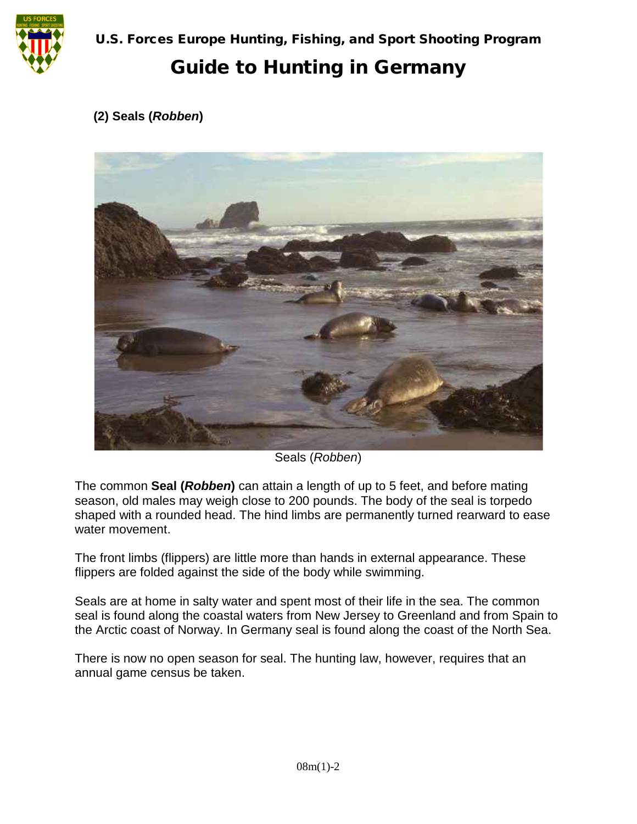

U.S. Forces Europe Hunting, Fishing, and Sport Shooting Program

# Guide to Hunting in Germany

#### **(2) Seals (***Robben***)**



Seals (*Robben*)

The common **Seal (***Robben***)** can attain a length of up to 5 feet, and before mating season, old males may weigh close to 200 pounds. The body of the seal is torpedo shaped with a rounded head. The hind limbs are permanently turned rearward to ease water movement.

The front limbs (flippers) are little more than hands in external appearance. These flippers are folded against the side of the body while swimming.

Seals are at home in salty water and spent most of their life in the sea. The common seal is found along the coastal waters from New Jersey to Greenland and from Spain to the Arctic coast of Norway. In Germany seal is found along the coast of the North Sea.

There is now no open season for seal. The hunting law, however, requires that an annual game census be taken.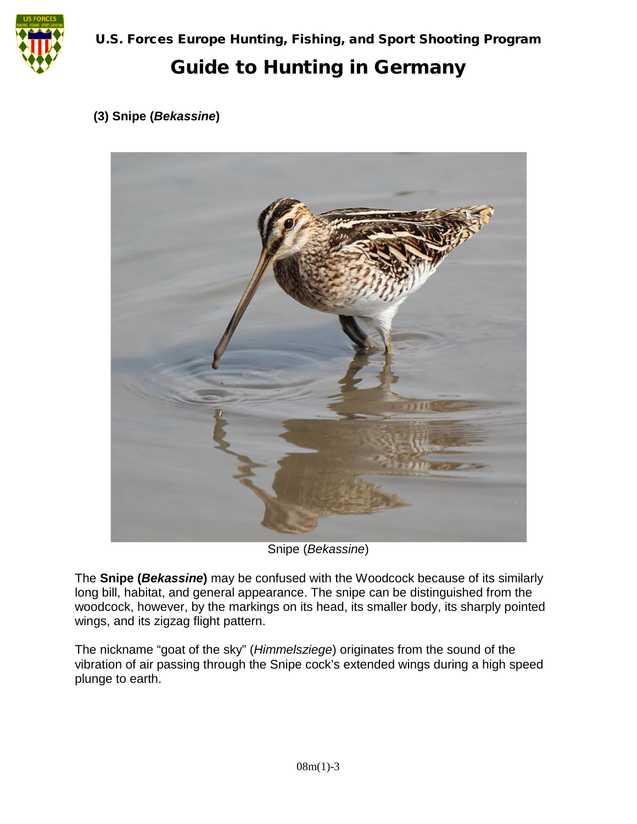

U.S. Forces Europe Hunting, Fishing, and Sport Shooting Program

# Guide to Hunting in Germany

#### **(3) Snipe (***Bekassine***)**



Snipe (*Bekassine*)

The **Snipe (***Bekassine***)** may be confused with the Woodcock because of its similarly long bill, habitat, and general appearance. The snipe can be distinguished from the woodcock, however, by the markings on its head, its smaller body, its sharply pointed wings, and its zigzag flight pattern.

The nickname "goat of the sky" (*Himmelsziege*) originates from the sound of the vibration of air passing through the Snipe cock's extended wings during a high speed plunge to earth.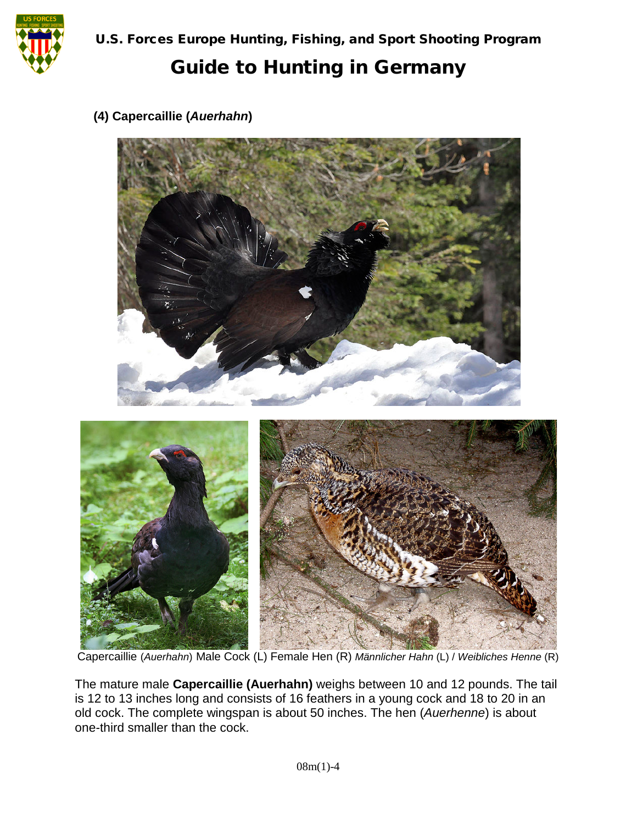

#### **(4) Capercaillie (***Auerhahn***)**



Capercaillie (*Auerhahn*) Male Cock (L) Female Hen (R) *Männlicher Hahn* (L) / *Weibliches Henne* (R)

The mature male **Capercaillie (Auerhahn)** weighs between 10 and 12 pounds. The tail is 12 to 13 inches long and consists of 16 feathers in a young cock and 18 to 20 in an old cock. The complete wingspan is about 50 inches. The hen (*Auerhenne*) is about one-third smaller than the cock.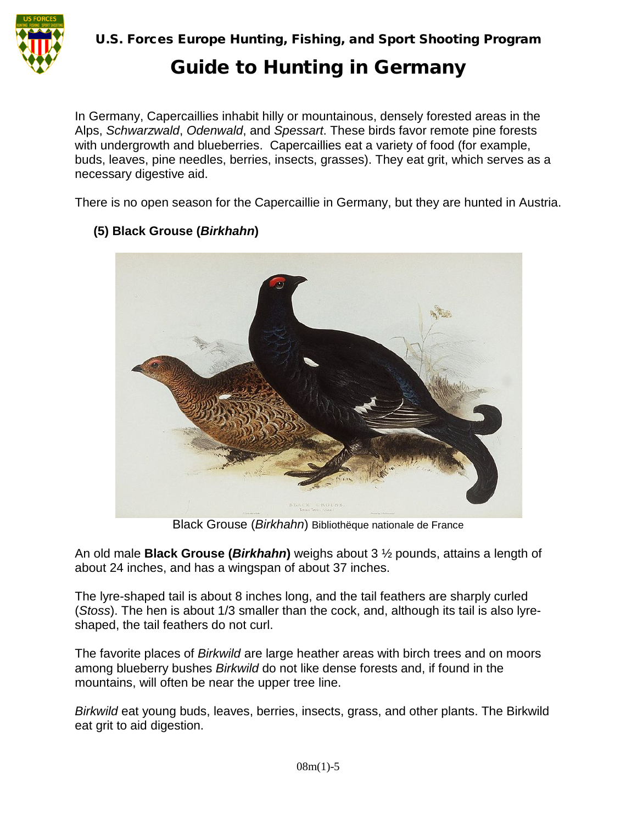

U.S. Forces Europe Hunting, Fishing, and Sport Shooting Program

### Guide to Hunting in Germany

In Germany, Capercaillies inhabit hilly or mountainous, densely forested areas in the Alps, *Schwarzwald*, *Odenwald*, and *Spessart*. These birds favor remote pine forests with undergrowth and blueberries. Capercaillies eat a variety of food (for example, buds, leaves, pine needles, berries, insects, grasses). They eat grit, which serves as a necessary digestive aid.

There is no open season for the Capercaillie in Germany, but they are hunted in Austria.



#### **(5) Black Grouse (***Birkhahn***)**

Black Grouse (*Birkhahn*) Bibliothëque nationale de France

An old male **Black Grouse (***Birkhahn***)** weighs about 3 ½ pounds, attains a length of about 24 inches, and has a wingspan of about 37 inches.

The lyre-shaped tail is about 8 inches long, and the tail feathers are sharply curled (*Stoss*). The hen is about 1/3 smaller than the cock, and, although its tail is also lyreshaped, the tail feathers do not curl.

The favorite places of *Birkwild* are large heather areas with birch trees and on moors among blueberry bushes *Birkwild* do not like dense forests and, if found in the mountains, will often be near the upper tree line.

*Birkwild* eat young buds, leaves, berries, insects, grass, and other plants. The Birkwild eat grit to aid digestion.